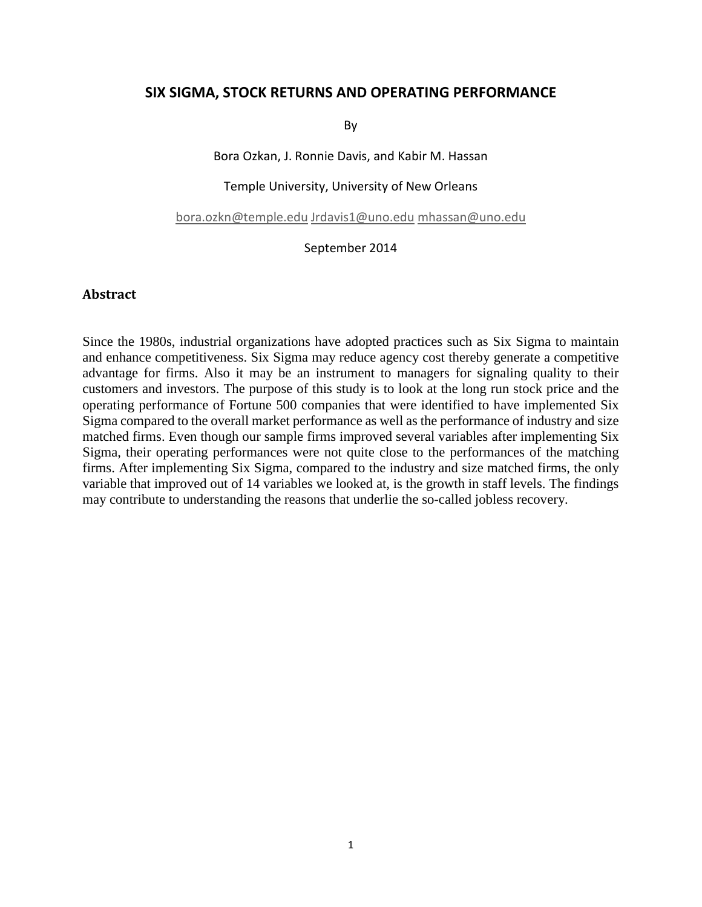# **SIX SIGMA, STOCK RETURNS AND OPERATING PERFORMANCE**

By

Bora Ozkan, J. Ronnie Davis, and Kabir M. Hassan

Temple University, University of New Orleans

[bora.ozkn@temple.edu](mailto:bora.ozkn@temple.edu) [Jrdavis1@uno.edu](mailto:Jrdavis1@uno.edu) [mhassan@uno.edu](mailto:mhassan@uno.edu)

#### September 2014

#### **Abstract**

Since the 1980s, industrial organizations have adopted practices such as Six Sigma to maintain and enhance competitiveness. Six Sigma may reduce agency cost thereby generate a competitive advantage for firms. Also it may be an instrument to managers for signaling quality to their customers and investors. The purpose of this study is to look at the long run stock price and the operating performance of Fortune 500 companies that were identified to have implemented Six Sigma compared to the overall market performance as well as the performance of industry and size matched firms. Even though our sample firms improved several variables after implementing Six Sigma, their operating performances were not quite close to the performances of the matching firms. After implementing Six Sigma, compared to the industry and size matched firms, the only variable that improved out of 14 variables we looked at, is the growth in staff levels. The findings may contribute to understanding the reasons that underlie the so-called jobless recovery.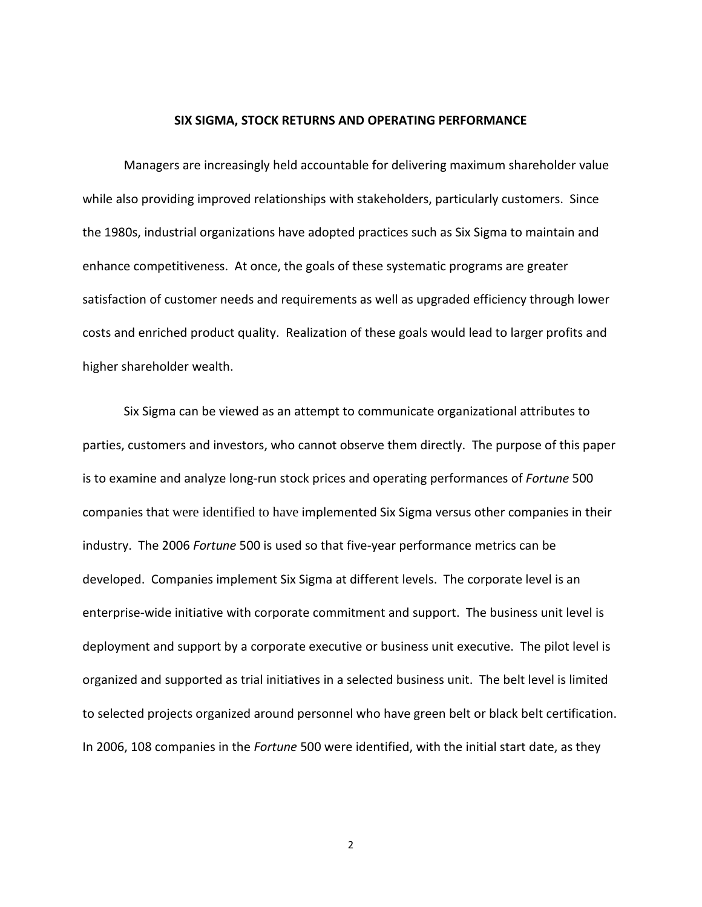#### **SIX SIGMA, STOCK RETURNS AND OPERATING PERFORMANCE**

Managers are increasingly held accountable for delivering maximum shareholder value while also providing improved relationships with stakeholders, particularly customers. Since the 1980s, industrial organizations have adopted practices such as Six Sigma to maintain and enhance competitiveness. At once, the goals of these systematic programs are greater satisfaction of customer needs and requirements as well as upgraded efficiency through lower costs and enriched product quality. Realization of these goals would lead to larger profits and higher shareholder wealth.

Six Sigma can be viewed as an attempt to communicate organizational attributes to parties, customers and investors, who cannot observe them directly. The purpose of this paper is to examine and analyze long-run stock prices and operating performances of *Fortune* 500 companies that were identified to have implemented Six Sigma versus other companies in their industry. The 2006 *Fortune* 500 is used so that five-year performance metrics can be developed. Companies implement Six Sigma at different levels. The corporate level is an enterprise-wide initiative with corporate commitment and support. The business unit level is deployment and support by a corporate executive or business unit executive. The pilot level is organized and supported as trial initiatives in a selected business unit. The belt level is limited to selected projects organized around personnel who have green belt or black belt certification. In 2006, 108 companies in the *Fortune* 500 were identified, with the initial start date, as they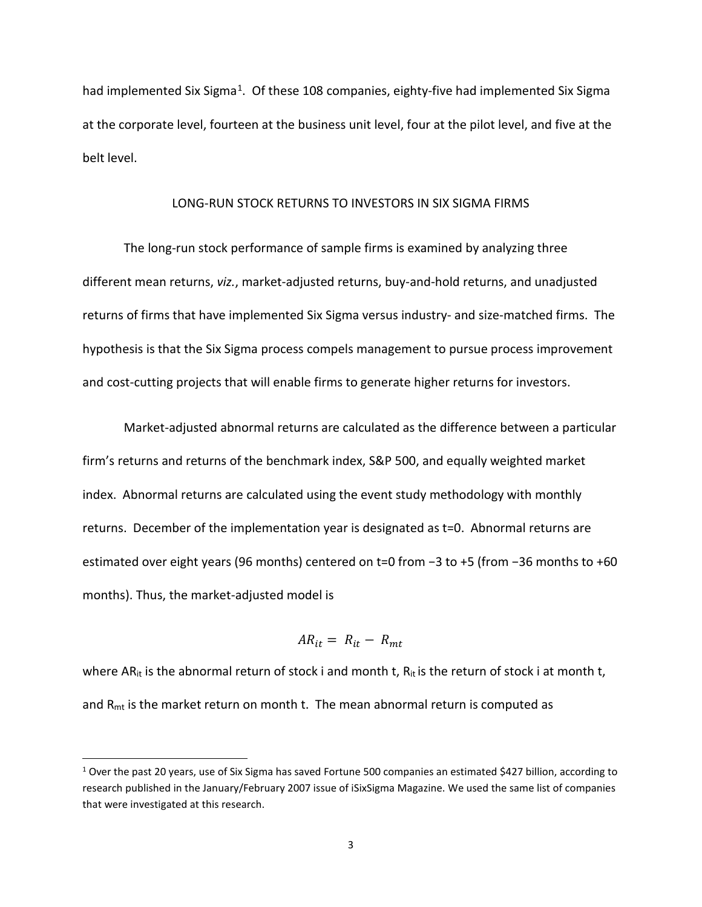had implemented Six Sigma<sup>[1](#page-2-0)</sup>. Of these 108 companies, eighty-five had implemented Six Sigma at the corporate level, fourteen at the business unit level, four at the pilot level, and five at the belt level.

#### LONG-RUN STOCK RETURNS TO INVESTORS IN SIX SIGMA FIRMS

The long-run stock performance of sample firms is examined by analyzing three different mean returns, *viz.*, market-adjusted returns, buy-and-hold returns, and unadjusted returns of firms that have implemented Six Sigma versus industry- and size-matched firms. The hypothesis is that the Six Sigma process compels management to pursue process improvement and cost-cutting projects that will enable firms to generate higher returns for investors.

Market-adjusted abnormal returns are calculated as the difference between a particular firm's returns and returns of the benchmark index, S&P 500, and equally weighted market index. Abnormal returns are calculated using the event study methodology with monthly returns. December of the implementation year is designated as t=0. Abnormal returns are estimated over eight years (96 months) centered on t=0 from −3 to +5 (from −36 months to +60 months). Thus, the market-adjusted model is

$$
AR_{it} = R_{it} - R_{mt}
$$

where AR<sub>it</sub> is the abnormal return of stock i and month t,  $R_{it}$  is the return of stock i at month t, and  $R<sub>mt</sub>$  is the market return on month t. The mean abnormal return is computed as

 $\overline{\phantom{a}}$ 

<span id="page-2-0"></span><sup>&</sup>lt;sup>1</sup> Over the past 20 years, use of Six Sigma has saved Fortune 500 companies an estimated \$427 billion, according to research published in the January/February 2007 issue of iSixSigma Magazine. We used the same list of companies that were investigated at this research.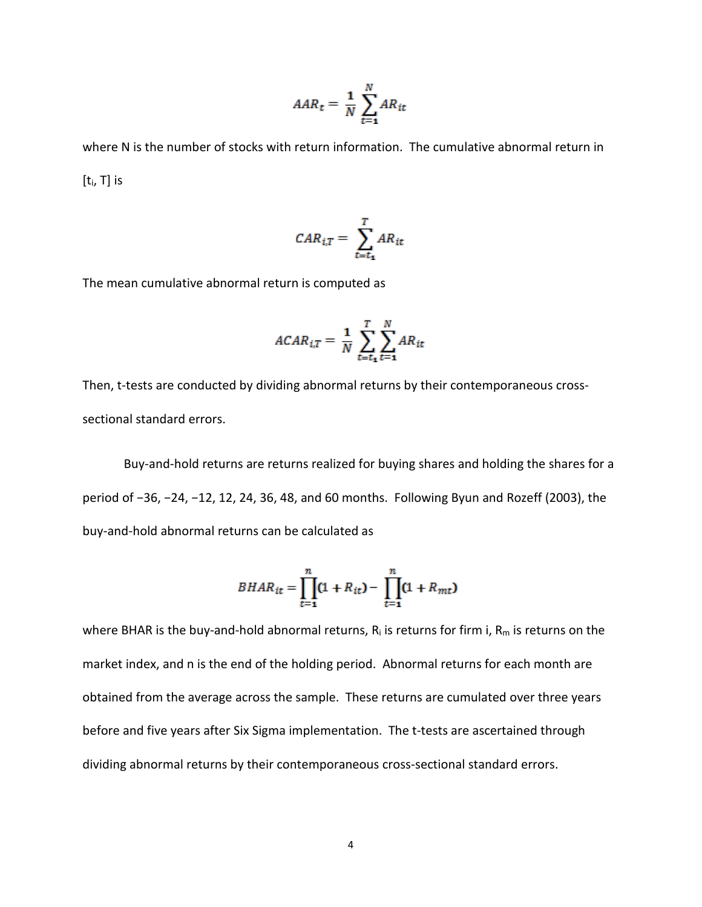$$
AAR_t = \frac{1}{N} \sum_{t=1}^{N} AR_{it}
$$

where N is the number of stocks with return information. The cumulative abnormal return in  $[t_i, T]$  is

$$
CAR_{i,T} = \sum_{t=t_1}^{T} AR_{it}
$$

The mean cumulative abnormal return is computed as

$$
ACAR_{i,T} = \frac{1}{N} \sum_{t=t_1}^{T} \sum_{t=1}^{N} AR_{it}
$$

Then, t-tests are conducted by dividing abnormal returns by their contemporaneous crosssectional standard errors.

Buy-and-hold returns are returns realized for buying shares and holding the shares for a period of −36, −24, −12, 12, 24, 36, 48, and 60 months. Following Byun and Rozeff (2003), the buy-and-hold abnormal returns can be calculated as

$$
BHAR_{it} = \prod_{t=1}^{n} (1 + R_{it}) - \prod_{t=1}^{n} (1 + R_{mt})
$$

where BHAR is the buy-and-hold abnormal returns,  $R_i$  is returns for firm i,  $R_m$  is returns on the market index, and n is the end of the holding period. Abnormal returns for each month are obtained from the average across the sample. These returns are cumulated over three years before and five years after Six Sigma implementation. The t-tests are ascertained through dividing abnormal returns by their contemporaneous cross-sectional standard errors.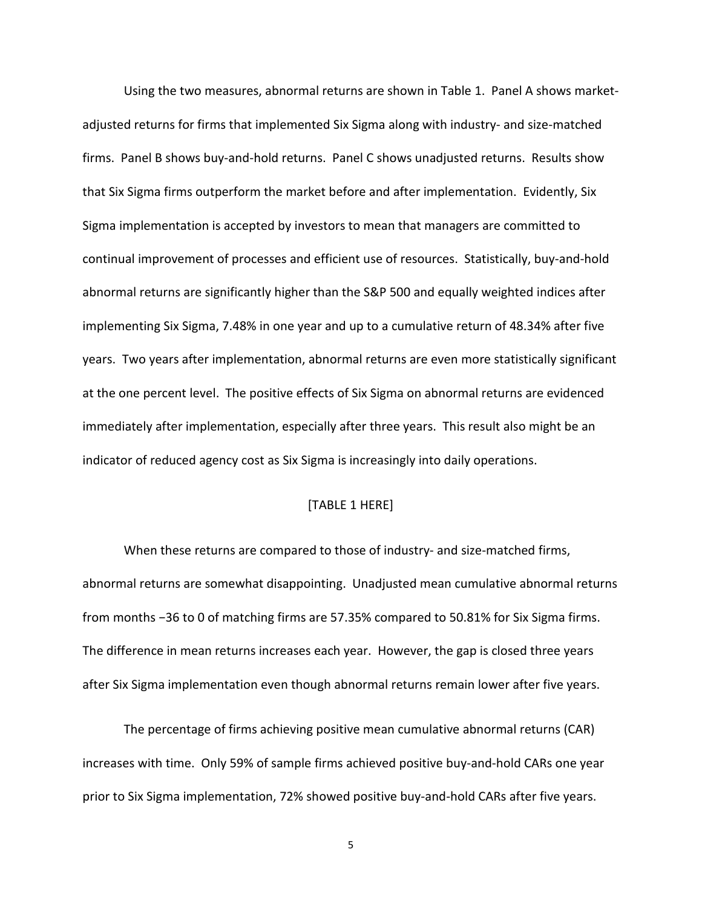Using the two measures, abnormal returns are shown in Table 1. Panel A shows marketadjusted returns for firms that implemented Six Sigma along with industry- and size-matched firms. Panel B shows buy-and-hold returns. Panel C shows unadjusted returns. Results show that Six Sigma firms outperform the market before and after implementation. Evidently, Six Sigma implementation is accepted by investors to mean that managers are committed to continual improvement of processes and efficient use of resources. Statistically, buy-and-hold abnormal returns are significantly higher than the S&P 500 and equally weighted indices after implementing Six Sigma, 7.48% in one year and up to a cumulative return of 48.34% after five years. Two years after implementation, abnormal returns are even more statistically significant at the one percent level. The positive effects of Six Sigma on abnormal returns are evidenced immediately after implementation, especially after three years. This result also might be an indicator of reduced agency cost as Six Sigma is increasingly into daily operations.

## [TABLE 1 HERE]

When these returns are compared to those of industry- and size-matched firms, abnormal returns are somewhat disappointing. Unadjusted mean cumulative abnormal returns from months −36 to 0 of matching firms are 57.35% compared to 50.81% for Six Sigma firms. The difference in mean returns increases each year. However, the gap is closed three years after Six Sigma implementation even though abnormal returns remain lower after five years.

The percentage of firms achieving positive mean cumulative abnormal returns (CAR) increases with time. Only 59% of sample firms achieved positive buy-and-hold CARs one year prior to Six Sigma implementation, 72% showed positive buy-and-hold CARs after five years.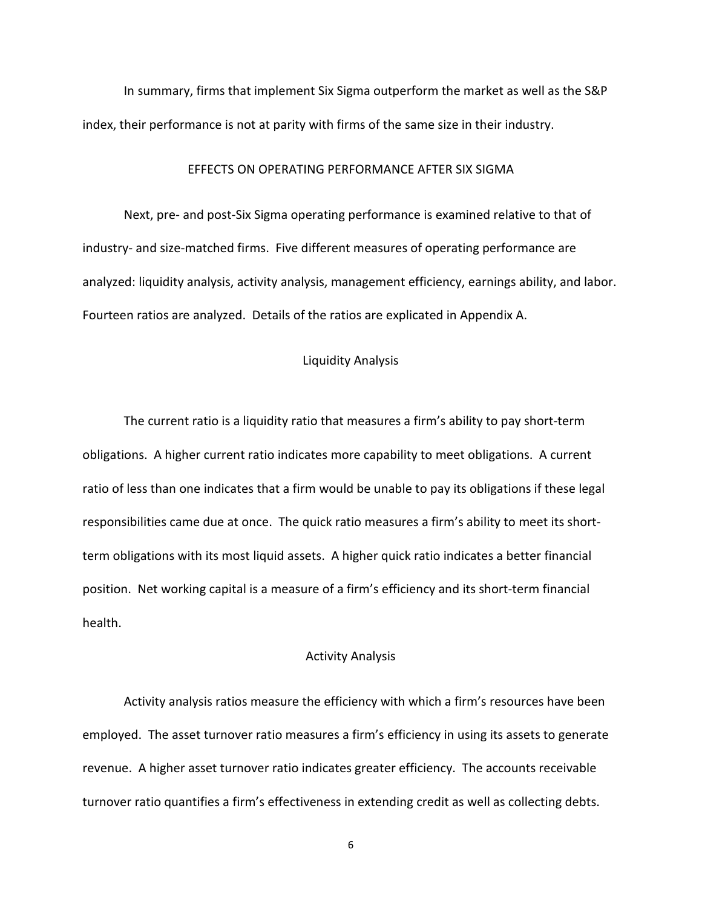In summary, firms that implement Six Sigma outperform the market as well as the S&P index, their performance is not at parity with firms of the same size in their industry.

#### EFFECTS ON OPERATING PERFORMANCE AFTER SIX SIGMA

Next, pre- and post-Six Sigma operating performance is examined relative to that of industry- and size-matched firms. Five different measures of operating performance are analyzed: liquidity analysis, activity analysis, management efficiency, earnings ability, and labor. Fourteen ratios are analyzed. Details of the ratios are explicated in Appendix A.

### Liquidity Analysis

The current ratio is a liquidity ratio that measures a firm's ability to pay short-term obligations. A higher current ratio indicates more capability to meet obligations. A current ratio of less than one indicates that a firm would be unable to pay its obligations if these legal responsibilities came due at once. The quick ratio measures a firm's ability to meet its shortterm obligations with its most liquid assets. A higher quick ratio indicates a better financial position. Net working capital is a measure of a firm's efficiency and its short-term financial health.

#### Activity Analysis

Activity analysis ratios measure the efficiency with which a firm's resources have been employed. The asset turnover ratio measures a firm's efficiency in using its assets to generate revenue. A higher asset turnover ratio indicates greater efficiency. The accounts receivable turnover ratio quantifies a firm's effectiveness in extending credit as well as collecting debts.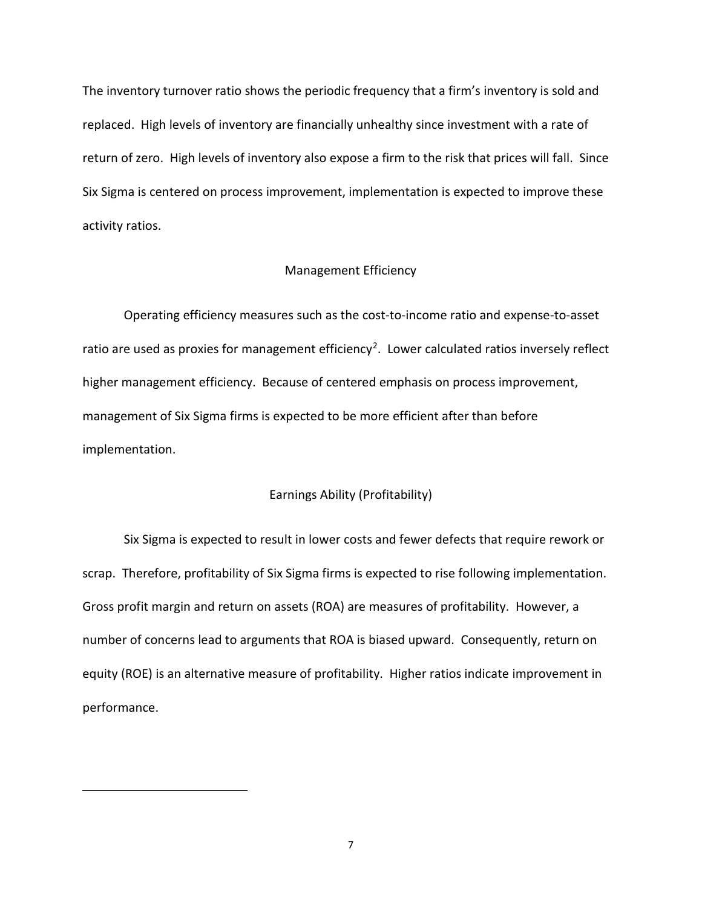The inventory turnover ratio shows the periodic frequency that a firm's inventory is sold and replaced. High levels of inventory are financially unhealthy since investment with a rate of return of zero. High levels of inventory also expose a firm to the risk that prices will fall. Since Six Sigma is centered on process improvement, implementation is expected to improve these activity ratios.

#### Management Efficiency

Operating efficiency measures such as the cost-to-income ratio and expense-to-asset ratio are used as proxies for management efficiency<sup>[2](#page-6-0)</sup>. Lower calculated ratios inversely reflect higher management efficiency. Because of centered emphasis on process improvement, management of Six Sigma firms is expected to be more efficient after than before implementation.

### Earnings Ability (Profitability)

Six Sigma is expected to result in lower costs and fewer defects that require rework or scrap. Therefore, profitability of Six Sigma firms is expected to rise following implementation. Gross profit margin and return on assets (ROA) are measures of profitability. However, a number of concerns lead to arguments that ROA is biased upward. Consequently, return on equity (ROE) is an alternative measure of profitability. Higher ratios indicate improvement in performance.

<span id="page-6-0"></span> $\overline{\phantom{a}}$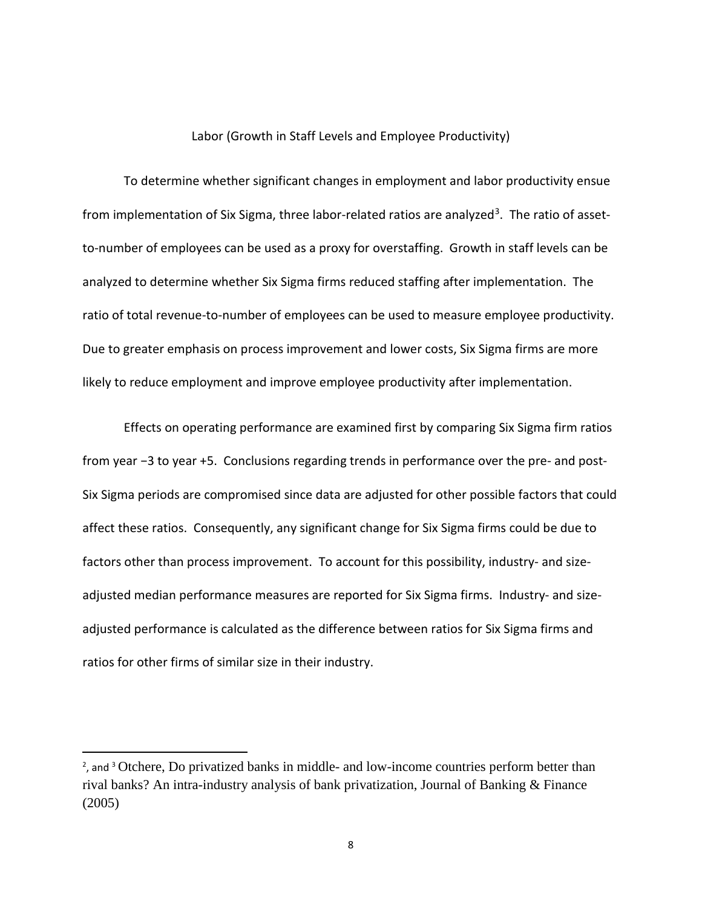#### Labor (Growth in Staff Levels and Employee Productivity)

To determine whether significant changes in employment and labor productivity ensue from implementation of Six Sigma, three labor-related ratios are analyzed<sup>3</sup>. The ratio of assetto-number of employees can be used as a proxy for overstaffing. Growth in staff levels can be analyzed to determine whether Six Sigma firms reduced staffing after implementation. The ratio of total revenue-to-number of employees can be used to measure employee productivity. Due to greater emphasis on process improvement and lower costs, Six Sigma firms are more likely to reduce employment and improve employee productivity after implementation.

Effects on operating performance are examined first by comparing Six Sigma firm ratios from year −3 to year +5. Conclusions regarding trends in performance over the pre- and post-Six Sigma periods are compromised since data are adjusted for other possible factors that could affect these ratios. Consequently, any significant change for Six Sigma firms could be due to factors other than process improvement. To account for this possibility, industry- and sizeadjusted median performance measures are reported for Six Sigma firms. Industry- and sizeadjusted performance is calculated as the difference between ratios for Six Sigma firms and ratios for other firms of similar size in their industry.

 $\overline{\phantom{a}}$ 

<span id="page-7-0"></span><sup>&</sup>lt;sup>2</sup>, and <sup>3</sup> Otchere, Do privatized banks in middle- and low-income countries perform better than rival banks? An intra-industry analysis of bank privatization, Journal of Banking & Finance (2005)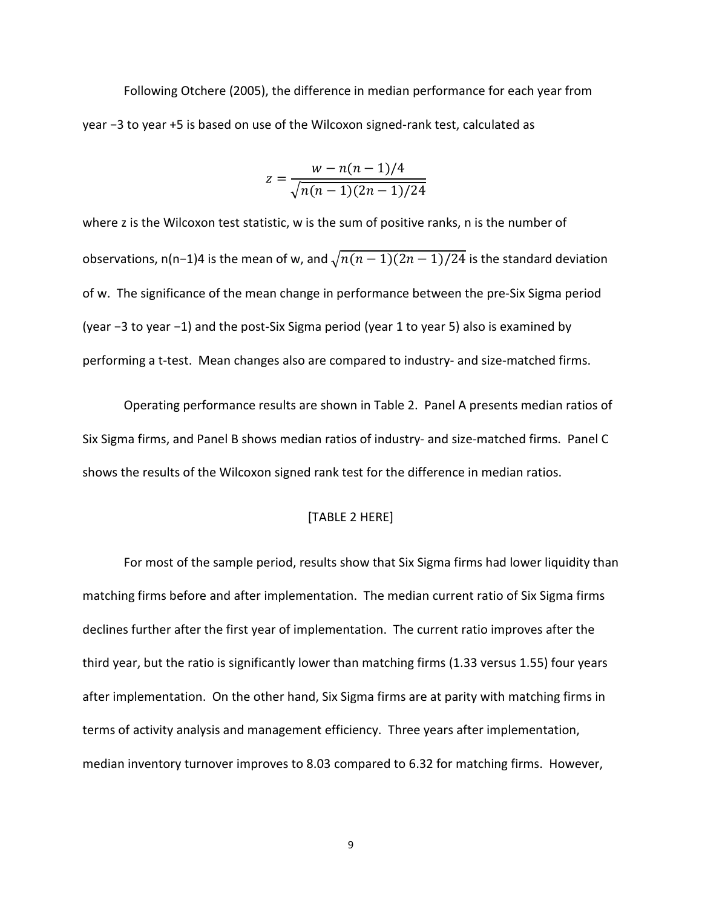Following Otchere (2005), the difference in median performance for each year from year −3 to year +5 is based on use of the Wilcoxon signed-rank test, calculated as

$$
z = \frac{w - n(n-1)/4}{\sqrt{n(n-1)(2n-1)/24}}
$$

where z is the Wilcoxon test statistic, w is the sum of positive ranks, n is the number of observations, n(n−1)4 is the mean of w, and  $\sqrt{n(n-1)(2n-1)/24}$  is the standard deviation of w. The significance of the mean change in performance between the pre-Six Sigma period (year −3 to year −1) and the post-Six Sigma period (year 1 to year 5) also is examined by performing a t-test. Mean changes also are compared to industry- and size-matched firms.

Operating performance results are shown in Table 2. Panel A presents median ratios of Six Sigma firms, and Panel B shows median ratios of industry- and size-matched firms. Panel C shows the results of the Wilcoxon signed rank test for the difference in median ratios.

#### [TABLE 2 HERE]

For most of the sample period, results show that Six Sigma firms had lower liquidity than matching firms before and after implementation. The median current ratio of Six Sigma firms declines further after the first year of implementation. The current ratio improves after the third year, but the ratio is significantly lower than matching firms (1.33 versus 1.55) four years after implementation. On the other hand, Six Sigma firms are at parity with matching firms in terms of activity analysis and management efficiency. Three years after implementation, median inventory turnover improves to 8.03 compared to 6.32 for matching firms. However,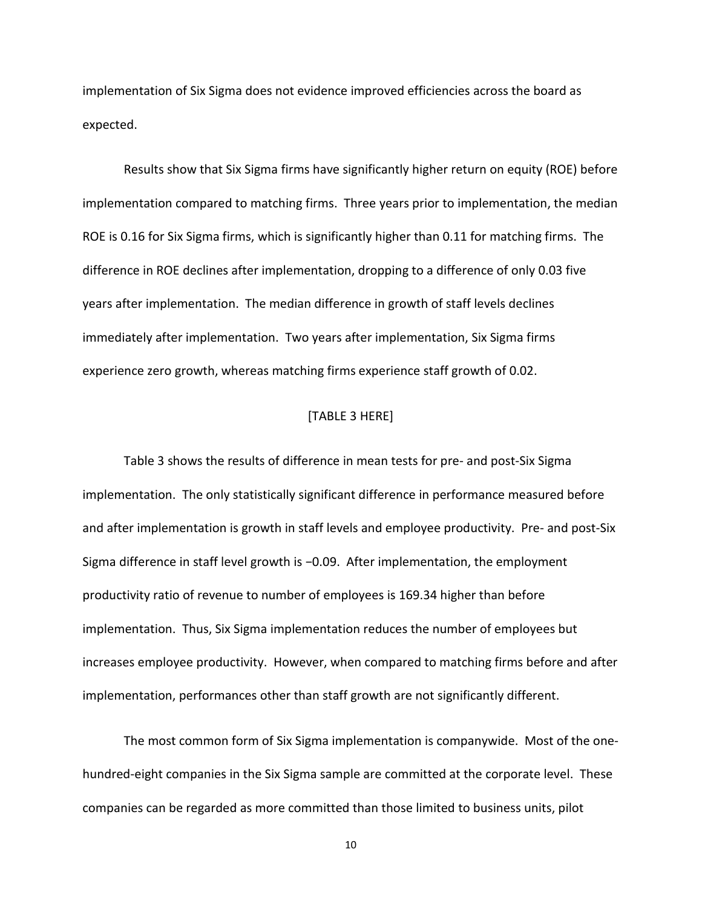implementation of Six Sigma does not evidence improved efficiencies across the board as expected.

Results show that Six Sigma firms have significantly higher return on equity (ROE) before implementation compared to matching firms. Three years prior to implementation, the median ROE is 0.16 for Six Sigma firms, which is significantly higher than 0.11 for matching firms. The difference in ROE declines after implementation, dropping to a difference of only 0.03 five years after implementation. The median difference in growth of staff levels declines immediately after implementation. Two years after implementation, Six Sigma firms experience zero growth, whereas matching firms experience staff growth of 0.02.

### [TABLE 3 HERE]

Table 3 shows the results of difference in mean tests for pre- and post-Six Sigma implementation. The only statistically significant difference in performance measured before and after implementation is growth in staff levels and employee productivity. Pre- and post-Six Sigma difference in staff level growth is −0.09. After implementation, the employment productivity ratio of revenue to number of employees is 169.34 higher than before implementation. Thus, Six Sigma implementation reduces the number of employees but increases employee productivity. However, when compared to matching firms before and after implementation, performances other than staff growth are not significantly different.

The most common form of Six Sigma implementation is companywide. Most of the onehundred-eight companies in the Six Sigma sample are committed at the corporate level. These companies can be regarded as more committed than those limited to business units, pilot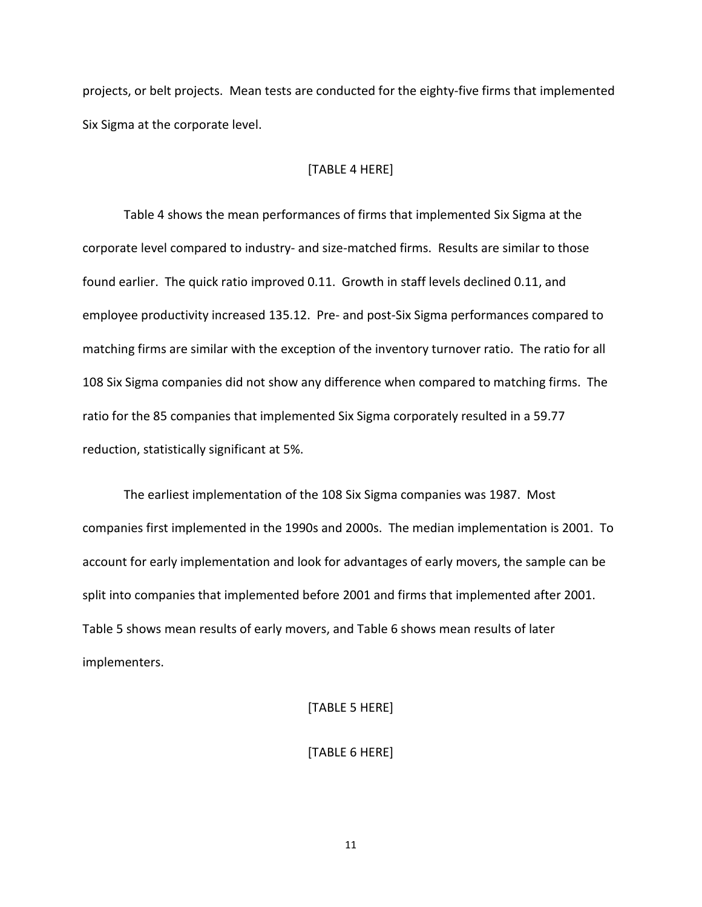projects, or belt projects. Mean tests are conducted for the eighty-five firms that implemented Six Sigma at the corporate level.

#### [TABLE 4 HERE]

Table 4 shows the mean performances of firms that implemented Six Sigma at the corporate level compared to industry- and size-matched firms. Results are similar to those found earlier. The quick ratio improved 0.11. Growth in staff levels declined 0.11, and employee productivity increased 135.12. Pre- and post-Six Sigma performances compared to matching firms are similar with the exception of the inventory turnover ratio. The ratio for all 108 Six Sigma companies did not show any difference when compared to matching firms. The ratio for the 85 companies that implemented Six Sigma corporately resulted in a 59.77 reduction, statistically significant at 5%.

The earliest implementation of the 108 Six Sigma companies was 1987. Most companies first implemented in the 1990s and 2000s. The median implementation is 2001. To account for early implementation and look for advantages of early movers, the sample can be split into companies that implemented before 2001 and firms that implemented after 2001. Table 5 shows mean results of early movers, and Table 6 shows mean results of later implementers.

#### [TABLE 5 HERE]

#### [TABLE 6 HERE]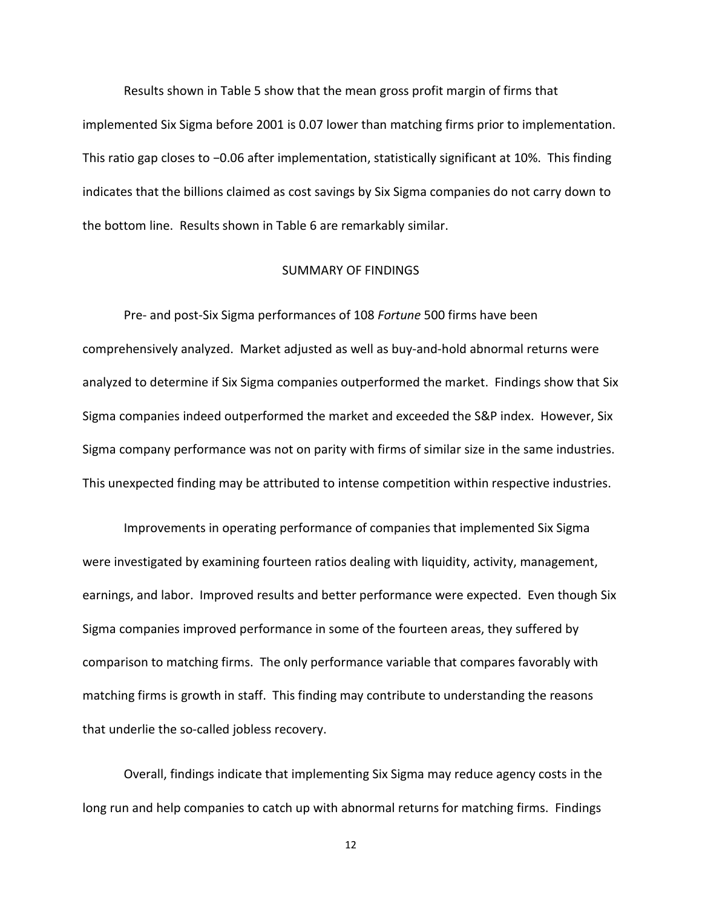Results shown in Table 5 show that the mean gross profit margin of firms that implemented Six Sigma before 2001 is 0.07 lower than matching firms prior to implementation. This ratio gap closes to −0.06 after implementation, statistically significant at 10%. This finding indicates that the billions claimed as cost savings by Six Sigma companies do not carry down to the bottom line. Results shown in Table 6 are remarkably similar.

#### SUMMARY OF FINDINGS

Pre- and post-Six Sigma performances of 108 *Fortune* 500 firms have been comprehensively analyzed. Market adjusted as well as buy-and-hold abnormal returns were analyzed to determine if Six Sigma companies outperformed the market. Findings show that Six Sigma companies indeed outperformed the market and exceeded the S&P index. However, Six Sigma company performance was not on parity with firms of similar size in the same industries. This unexpected finding may be attributed to intense competition within respective industries.

Improvements in operating performance of companies that implemented Six Sigma were investigated by examining fourteen ratios dealing with liquidity, activity, management, earnings, and labor. Improved results and better performance were expected. Even though Six Sigma companies improved performance in some of the fourteen areas, they suffered by comparison to matching firms. The only performance variable that compares favorably with matching firms is growth in staff. This finding may contribute to understanding the reasons that underlie the so-called jobless recovery.

Overall, findings indicate that implementing Six Sigma may reduce agency costs in the long run and help companies to catch up with abnormal returns for matching firms. Findings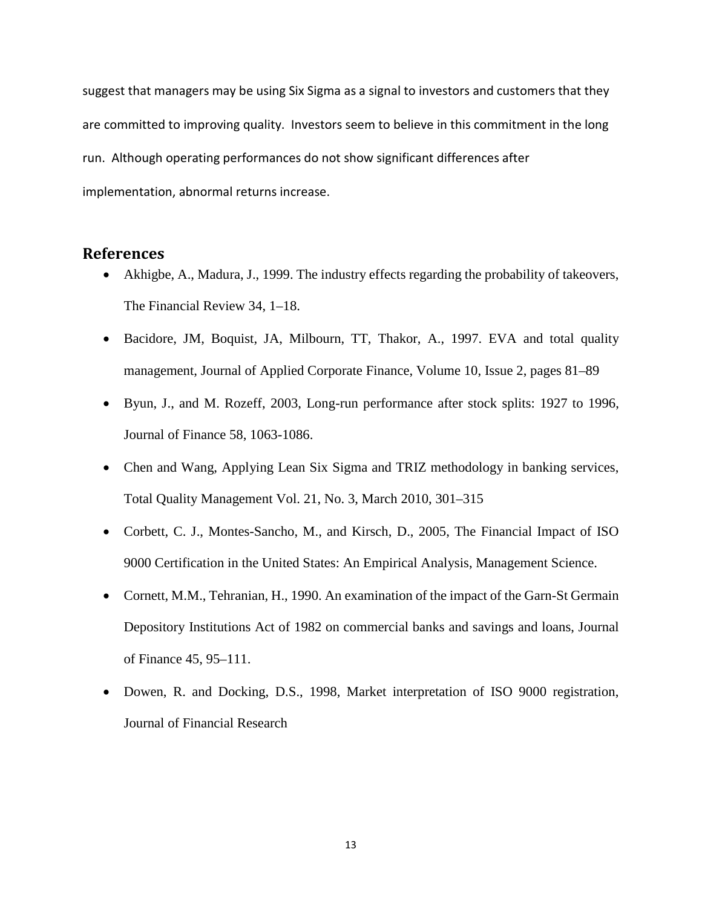suggest that managers may be using Six Sigma as a signal to investors and customers that they are committed to improving quality. Investors seem to believe in this commitment in the long run. Although operating performances do not show significant differences after implementation, abnormal returns increase.

# **References**

- Akhigbe, A., Madura, J., 1999. The industry effects regarding the probability of takeovers, The Financial Review 34, 1–18.
- Bacidore, JM, Boquist, JA, Milbourn, TT, Thakor, A., 1997. EVA and total quality management, Journal of Applied Corporate Finance, Volume 10, Issue 2, pages 81–89
- Byun, J., and M. Rozeff, 2003, Long-run performance after stock splits: 1927 to 1996, Journal of Finance 58, 1063-1086.
- Chen and Wang, Applying Lean Six Sigma and TRIZ methodology in banking services, Total Quality Management Vol. 21, No. 3, March 2010, 301–315
- Corbett, C. J., Montes-Sancho, M., and Kirsch, D., 2005, The Financial Impact of ISO 9000 Certification in the United States: An Empirical Analysis, Management Science.
- Cornett, M.M., Tehranian, H., 1990. An examination of the impact of the Garn-St Germain Depository Institutions Act of 1982 on commercial banks and savings and loans, Journal of Finance 45, 95–111.
- Dowen, R. and Docking, D.S., 1998, Market interpretation of ISO 9000 registration, Journal of Financial Research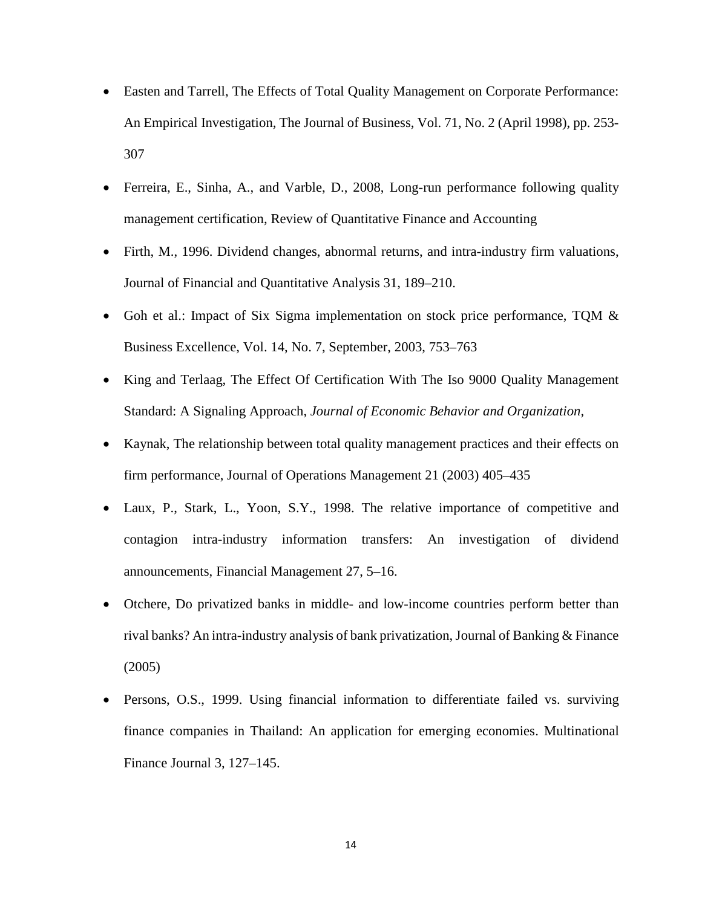- Easten and Tarrell, The Effects of Total Quality Management on Corporate Performance: An Empirical Investigation, The Journal of Business, Vol. 71, No. 2 (April 1998), pp. 253- 307
- Ferreira, E., Sinha, A., and Varble, D., 2008, Long-run performance following quality management certification, Review of Quantitative Finance and Accounting
- Firth, M., 1996. Dividend changes, abnormal returns, and intra-industry firm valuations, Journal of Financial and Quantitative Analysis 31, 189–210.
- Goh et al.: Impact of Six Sigma implementation on stock price performance, TQM & Business Excellence, Vol. 14, No. 7, September, 2003, 753–763
- King and Terlaag, The Effect Of Certification With The Iso 9000 Quality Management Standard: A Signaling Approach, *Journal of Economic Behavior and Organization,*
- Kaynak, The relationship between total quality management practices and their effects on firm performance, Journal of Operations Management 21 (2003) 405–435
- Laux, P., Stark, L., Yoon, S.Y., 1998. The relative importance of competitive and contagion intra-industry information transfers: An investigation of dividend announcements, Financial Management 27, 5–16.
- Otchere, Do privatized banks in middle- and low-income countries perform better than rival banks? An intra-industry analysis of bank privatization, Journal of Banking & Finance (2005)
- Persons, O.S., 1999. Using financial information to differentiate failed vs. surviving finance companies in Thailand: An application for emerging economies. Multinational Finance Journal 3, 127–145.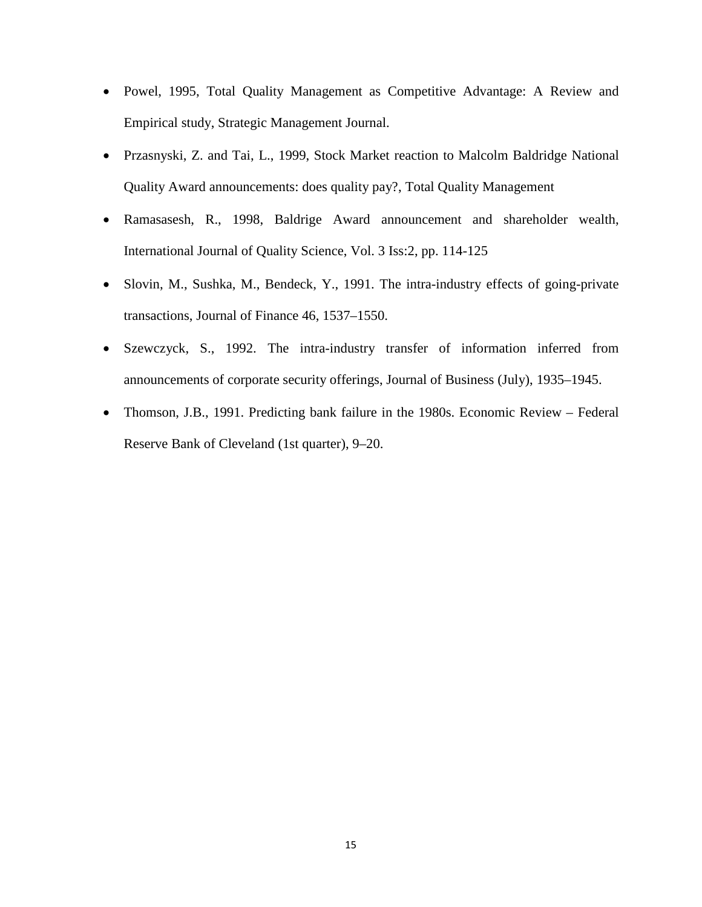- Powel, 1995, Total Quality Management as Competitive Advantage: A Review and Empirical study, Strategic Management Journal.
- Przasnyski, Z. and Tai, L., 1999, Stock Market reaction to Malcolm Baldridge National Quality Award announcements: does quality pay?, Total Quality Management
- Ramasasesh, R., 1998, Baldrige Award announcement and shareholder wealth, International Journal of Quality Science, Vol. 3 Iss:2, pp. 114-125
- Slovin, M., Sushka, M., Bendeck, Y., 1991. The intra-industry effects of going-private transactions, Journal of Finance 46, 1537–1550.
- Szewczyck, S., 1992. The intra-industry transfer of information inferred from announcements of corporate security offerings, Journal of Business (July), 1935–1945.
- Thomson, J.B., 1991. Predicting bank failure in the 1980s. Economic Review Federal Reserve Bank of Cleveland (1st quarter), 9–20.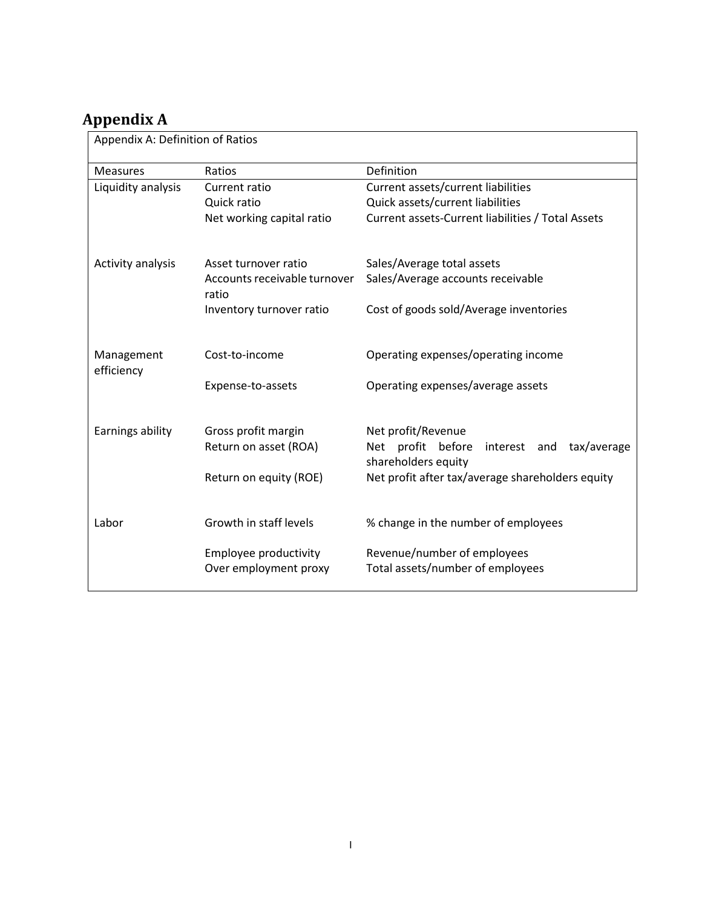# **Appendix A**

Appendix A: Definition of Ratios

| <b>Measures</b>    | Ratios                                                                    | Definition                                                                                                                                                                              |  |  |  |  |  |  |  |
|--------------------|---------------------------------------------------------------------------|-----------------------------------------------------------------------------------------------------------------------------------------------------------------------------------------|--|--|--|--|--|--|--|
| Liquidity analysis | Current ratio                                                             | Current assets/current liabilities                                                                                                                                                      |  |  |  |  |  |  |  |
|                    | Quick ratio                                                               | Quick assets/current liabilities                                                                                                                                                        |  |  |  |  |  |  |  |
|                    | Net working capital ratio                                                 | Current assets-Current liabilities / Total Assets                                                                                                                                       |  |  |  |  |  |  |  |
|                    |                                                                           |                                                                                                                                                                                         |  |  |  |  |  |  |  |
| Activity analysis  | Asset turnover ratio                                                      | Sales/Average total assets                                                                                                                                                              |  |  |  |  |  |  |  |
|                    | Accounts receivable turnover<br>ratio                                     | Sales/Average accounts receivable                                                                                                                                                       |  |  |  |  |  |  |  |
|                    | Inventory turnover ratio                                                  | Cost of goods sold/Average inventories                                                                                                                                                  |  |  |  |  |  |  |  |
|                    |                                                                           |                                                                                                                                                                                         |  |  |  |  |  |  |  |
| Management         | Cost-to-income                                                            | Operating expenses/operating income                                                                                                                                                     |  |  |  |  |  |  |  |
| efficiency         |                                                                           |                                                                                                                                                                                         |  |  |  |  |  |  |  |
|                    | Expense-to-assets                                                         |                                                                                                                                                                                         |  |  |  |  |  |  |  |
|                    |                                                                           |                                                                                                                                                                                         |  |  |  |  |  |  |  |
| Earnings ability   | Gross profit margin                                                       | Net profit/Revenue                                                                                                                                                                      |  |  |  |  |  |  |  |
|                    | Return on asset (ROA)                                                     | Net profit before<br>tax/average<br>interest and                                                                                                                                        |  |  |  |  |  |  |  |
|                    |                                                                           |                                                                                                                                                                                         |  |  |  |  |  |  |  |
|                    |                                                                           |                                                                                                                                                                                         |  |  |  |  |  |  |  |
|                    |                                                                           |                                                                                                                                                                                         |  |  |  |  |  |  |  |
|                    |                                                                           |                                                                                                                                                                                         |  |  |  |  |  |  |  |
|                    | Employee productivity                                                     | Revenue/number of employees                                                                                                                                                             |  |  |  |  |  |  |  |
|                    |                                                                           |                                                                                                                                                                                         |  |  |  |  |  |  |  |
| Labor              | Return on equity (ROE)<br>Growth in staff levels<br>Over employment proxy | Operating expenses/average assets<br>shareholders equity<br>Net profit after tax/average shareholders equity<br>% change in the number of employees<br>Total assets/number of employees |  |  |  |  |  |  |  |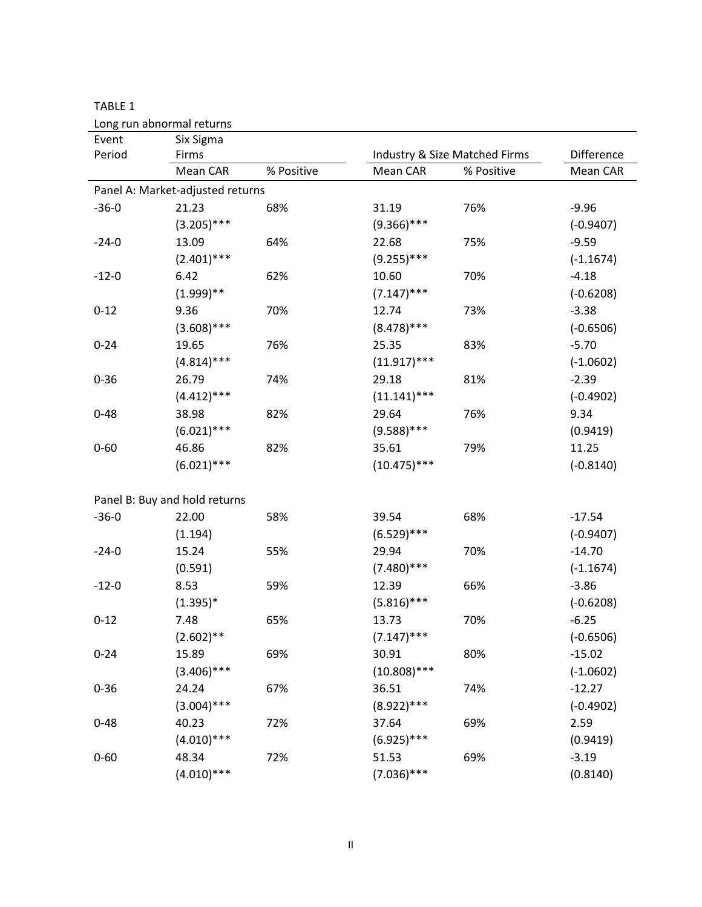|          | Long run abnormal returns        |            |                |                               |             |
|----------|----------------------------------|------------|----------------|-------------------------------|-------------|
| Event    | Six Sigma                        |            |                |                               |             |
| Period   | Firms                            |            |                | Industry & Size Matched Firms | Difference  |
|          | Mean CAR                         | % Positive | Mean CAR       | % Positive                    | Mean CAR    |
|          | Panel A: Market-adjusted returns |            |                |                               |             |
| $-36-0$  | 21.23                            | 68%        | 31.19          | 76%                           | $-9.96$     |
|          | $(3.205)$ ***                    |            | $(9.366)$ ***  |                               | $(-0.9407)$ |
| $-24-0$  | 13.09                            | 64%        | 22.68          | 75%                           | $-9.59$     |
|          | $(2.401)$ ***                    |            | $(9.255)$ ***  |                               | $(-1.1674)$ |
| $-12-0$  | 6.42                             | 62%        | 10.60          | 70%                           | $-4.18$     |
|          | $(1.999)**$                      |            | $(7.147)$ ***  |                               | $(-0.6208)$ |
| $0 - 12$ | 9.36                             | 70%        | 12.74          | 73%                           | $-3.38$     |
|          | $(3.608)$ ***                    |            | $(8.478)$ ***  |                               | $(-0.6506)$ |
| $0 - 24$ | 19.65                            | 76%        | 25.35          | 83%                           | $-5.70$     |
|          | $(4.814)$ ***                    |            | $(11.917)$ *** |                               | $(-1.0602)$ |
| $0 - 36$ | 26.79                            | 74%        | 29.18          | 81%                           | $-2.39$     |
|          | $(4.412)$ ***                    |            | $(11.141)$ *** |                               | $(-0.4902)$ |
| $0 - 48$ | 38.98                            | 82%        | 29.64          | 76%                           | 9.34        |
|          | $(6.021)$ ***                    |            | $(9.588)$ ***  |                               | (0.9419)    |
| $0 - 60$ | 46.86                            | 82%        | 35.61          | 79%                           | 11.25       |
|          | $(6.021)$ ***                    |            | $(10.475)$ *** |                               | $(-0.8140)$ |
|          |                                  |            |                |                               |             |
|          | Panel B: Buy and hold returns    |            |                |                               |             |
| $-36-0$  | 22.00                            | 58%        | 39.54          | 68%                           | $-17.54$    |
|          | (1.194)                          |            | $(6.529)$ ***  |                               | $(-0.9407)$ |
| $-24-0$  | 15.24                            | 55%        | 29.94          | 70%                           | $-14.70$    |
|          | (0.591)                          |            | $(7.480)$ ***  |                               | $(-1.1674)$ |
| $-12-0$  | 8.53                             | 59%        | 12.39          | 66%                           | $-3.86$     |
|          | $(1.395)*$                       |            | $(5.816)$ ***  |                               | $(-0.6208)$ |
| $0 - 12$ | 7.48                             | 65%        | 13.73          | 70%                           | $-6.25$     |
|          | $(2.602)$ **                     |            | $(7.147)$ ***  |                               | $(-0.6506)$ |
| $0 - 24$ | 15.89                            | 69%        | 30.91          | 80%                           | $-15.02$    |
|          | $(3.406)$ ***                    |            | $(10.808)$ *** |                               | $(-1.0602)$ |
| $0 - 36$ | 24.24                            | 67%        | 36.51          | 74%                           | $-12.27$    |
|          | $(3.004)$ ***                    |            | $(8.922)$ ***  |                               | $(-0.4902)$ |
| $0 - 48$ | 40.23                            | 72%        | 37.64          | 69%                           | 2.59        |
|          | $(4.010)$ ***                    |            | $(6.925)$ ***  |                               | (0.9419)    |
| $0 - 60$ | 48.34                            | 72%        | 51.53          | 69%                           | $-3.19$     |
|          | $(4.010)$ ***                    |            | $(7.036)$ ***  |                               | (0.8140)    |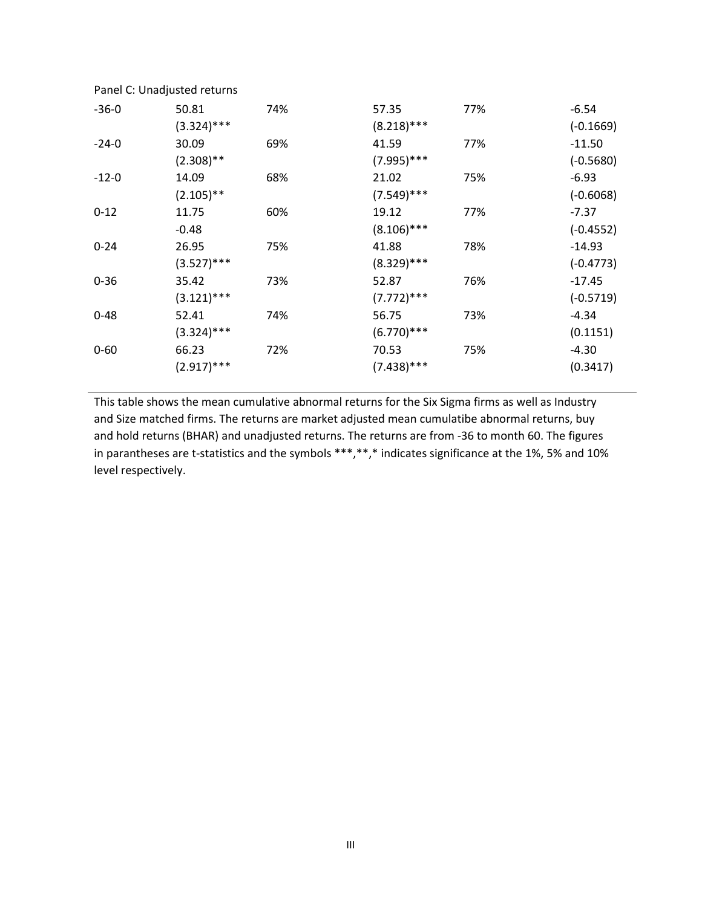| $-36-0$  | 50.81         | 74% | 57.35         | 77% | $-6.54$     |
|----------|---------------|-----|---------------|-----|-------------|
|          | $(3.324)$ *** |     | $(8.218)$ *** |     | $(-0.1669)$ |
| $-24-0$  | 30.09         | 69% | 41.59         | 77% | $-11.50$    |
|          | $(2.308)$ **  |     | $(7.995)$ *** |     | $(-0.5680)$ |
| $-12-0$  | 14.09         | 68% | 21.02         | 75% | $-6.93$     |
|          | $(2.105)$ **  |     | $(7.549)$ *** |     | $(-0.6068)$ |
| $0 - 12$ | 11.75         | 60% | 19.12         | 77% | $-7.37$     |
|          | $-0.48$       |     | $(8.106)$ *** |     | $(-0.4552)$ |
| $0 - 24$ | 26.95         | 75% | 41.88         | 78% | $-14.93$    |
|          | $(3.527)$ *** |     | $(8.329)$ *** |     | $(-0.4773)$ |
| $0 - 36$ | 35.42         | 73% | 52.87         | 76% | $-17.45$    |
|          | $(3.121)$ *** |     | $(7.772)$ *** |     | $(-0.5719)$ |
| $0 - 48$ | 52.41         | 74% | 56.75         | 73% | $-4.34$     |
|          | $(3.324)$ *** |     | $(6.770)$ *** |     | (0.1151)    |
| $0 - 60$ | 66.23         | 72% | 70.53         | 75% | $-4.30$     |
|          | $(2.917)$ *** |     | $(7.438)$ *** |     | (0.3417)    |
|          |               |     |               |     |             |

Panel C: Unadjusted returns

This table shows the mean cumulative abnormal returns for the Six Sigma firms as well as Industry and Size matched firms. The returns are market adjusted mean cumulatibe abnormal returns, buy and hold returns (BHAR) and unadjusted returns. The returns are from -36 to month 60. The figures in parantheses are t-statistics and the symbols \*\*\*,\*\*,\* indicates significance at the 1%, 5% and 10% level respectively.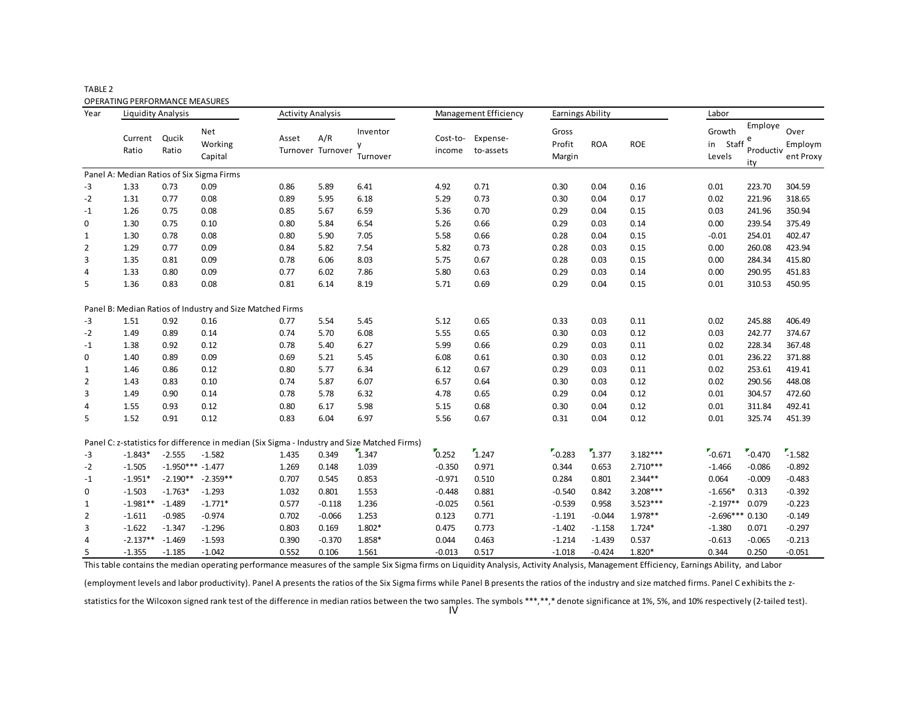| ABLE' |  |
|-------|--|
|-------|--|

OPERATING PERFORMANCE MEASURES

| Year           | <b>Liquidity Analysis</b> |                    |                                                                                              | <b>Activity Analysis</b> |                          |                           |                    | Management Efficiency | <b>Earnings Ability</b>   |            |            | Labor                           |                                  |                              |
|----------------|---------------------------|--------------------|----------------------------------------------------------------------------------------------|--------------------------|--------------------------|---------------------------|--------------------|-----------------------|---------------------------|------------|------------|---------------------------------|----------------------------------|------------------------------|
|                | Current<br>Ratio          | Qucik<br>Ratio     | Net<br>Working<br>Capital                                                                    | Asset                    | A/R<br>Turnover Turnover | Inventor<br>y<br>Turnover | Cost-to-<br>income | Expense-<br>to-assets | Gross<br>Profit<br>Margin | <b>ROA</b> | <b>ROE</b> | Growth<br>Staff<br>in<br>Levels | Employe<br>e<br>Productiv<br>ity | Over<br>Employm<br>ent Proxy |
|                |                           |                    | Panel A: Median Ratios of Six Sigma Firms                                                    |                          |                          |                           |                    |                       |                           |            |            |                                 |                                  |                              |
| -3             | 1.33                      | 0.73               | 0.09                                                                                         | 0.86                     | 5.89                     | 6.41                      | 4.92               | 0.71                  | 0.30                      | 0.04       | 0.16       | 0.01                            | 223.70                           | 304.59                       |
| -2             | 1.31                      | 0.77               | 0.08                                                                                         | 0.89                     | 5.95                     | 6.18                      | 5.29               | 0.73                  | 0.30                      | 0.04       | 0.17       | 0.02                            | 221.96                           | 318.65                       |
| $-1$           | 1.26                      | 0.75               | 0.08                                                                                         | 0.85                     | 5.67                     | 6.59                      | 5.36               | 0.70                  | 0.29                      | 0.04       | 0.15       | 0.03                            | 241.96                           | 350.94                       |
| 0              | 1.30                      | 0.75               | 0.10                                                                                         | 0.80                     | 5.84                     | 6.54                      | 5.26               | 0.66                  | 0.29                      | 0.03       | 0.14       | 0.00                            | 239.54                           | 375.49                       |
| 1              | 1.30                      | 0.78               | 0.08                                                                                         | 0.80                     | 5.90                     | 7.05                      | 5.58               | 0.66                  | 0.28                      | 0.04       | 0.15       | $-0.01$                         | 254.01                           | 402.47                       |
| $\overline{2}$ | 1.29                      | 0.77               | 0.09                                                                                         | 0.84                     | 5.82                     | 7.54                      | 5.82               | 0.73                  | 0.28                      | 0.03       | 0.15       | 0.00                            | 260.08                           | 423.94                       |
| 3              | 1.35                      | 0.81               | 0.09                                                                                         | 0.78                     | 6.06                     | 8.03                      | 5.75               | 0.67                  | 0.28                      | 0.03       | 0.15       | 0.00                            | 284.34                           | 415.80                       |
| 4              | 1.33                      | 0.80               | 0.09                                                                                         | 0.77                     | 6.02                     | 7.86                      | 5.80               | 0.63                  | 0.29                      | 0.03       | 0.14       | 0.00                            | 290.95                           | 451.83                       |
| 5              | 1.36                      | 0.83               | 0.08                                                                                         | 0.81                     | 6.14                     | 8.19                      | 5.71               | 0.69                  | 0.29                      | 0.04       | 0.15       | 0.01                            | 310.53                           | 450.95                       |
|                |                           |                    | Panel B: Median Ratios of Industry and Size Matched Firms                                    |                          |                          |                           |                    |                       |                           |            |            |                                 |                                  |                              |
| -3             | 1.51                      | 0.92               | 0.16                                                                                         | 0.77                     | 5.54                     | 5.45                      | 5.12               | 0.65                  | 0.33                      | 0.03       | 0.11       | 0.02                            | 245.88                           | 406.49                       |
| $-2$           | 1.49                      | 0.89               | 0.14                                                                                         | 0.74                     | 5.70                     | 6.08                      | 5.55               | 0.65                  | 0.30                      | 0.03       | 0.12       | 0.03                            | 242.77                           | 374.67                       |
| $-1$           | 1.38                      | 0.92               | 0.12                                                                                         | 0.78                     | 5.40                     | 6.27                      | 5.99               | 0.66                  | 0.29                      | 0.03       | 0.11       | 0.02                            | 228.34                           | 367.48                       |
| 0              | 1.40                      | 0.89               | 0.09                                                                                         | 0.69                     | 5.21                     | 5.45                      | 6.08               | 0.61                  | 0.30                      | 0.03       | 0.12       | 0.01                            | 236.22                           | 371.88                       |
| 1              | 1.46                      | 0.86               | 0.12                                                                                         | 0.80                     | 5.77                     | 6.34                      | 6.12               | 0.67                  | 0.29                      | 0.03       | 0.11       | 0.02                            | 253.61                           | 419.41                       |
| $\overline{2}$ | 1.43                      | 0.83               | 0.10                                                                                         | 0.74                     | 5.87                     | 6.07                      | 6.57               | 0.64                  | 0.30                      | 0.03       | 0.12       | 0.02                            | 290.56                           | 448.08                       |
| 3              | 1.49                      | 0.90               | 0.14                                                                                         | 0.78                     | 5.78                     | 6.32                      | 4.78               | 0.65                  | 0.29                      | 0.04       | 0.12       | 0.01                            | 304.57                           | 472.60                       |
| 4              | 1.55                      | 0.93               | 0.12                                                                                         | 0.80                     | 6.17                     | 5.98                      | 5.15               | 0.68                  | 0.30                      | 0.04       | 0.12       | 0.01                            | 311.84                           | 492.41                       |
| 5              | 1.52                      | 0.91               | 0.12                                                                                         | 0.83                     | 6.04                     | 6.97                      | 5.56               | 0.67                  | 0.31                      | 0.04       | 0.12       | 0.01                            | 325.74                           | 451.39                       |
|                |                           |                    | Panel C: z-statistics for difference in median (Six Sigma - Industry and Size Matched Firms) |                          |                          |                           |                    |                       |                           |            |            |                                 |                                  |                              |
| $-3$           | $-1.843*$                 | $-2.555$           | $-1.582$                                                                                     | 1.435                    | 0.349                    | 1.347                     | 0.252              | 1.247                 | $-0.283$                  | 7.377      | 3.182***   | $-0.671$                        | $-0.470$                         | $-1.582$                     |
| $-2$           | $-1.505$                  | $-1.950*** -1.477$ |                                                                                              | 1.269                    | 0.148                    | 1.039                     | $-0.350$           | 0.971                 | 0.344                     | 0.653      | $2.710***$ | $-1.466$                        | $-0.086$                         | $-0.892$                     |
| $-1$           | $-1.951*$                 | $-2.190**$         | $-2.359**$                                                                                   | 0.707                    | 0.545                    | 0.853                     | $-0.971$           | 0.510                 | 0.284                     | 0.801      | $2.344**$  | 0.064                           | $-0.009$                         | $-0.483$                     |
| 0              | $-1.503$                  | $-1.763*$          | $-1.293$                                                                                     | 1.032                    | 0.801                    | 1.553                     | $-0.448$           | 0.881                 | $-0.540$                  | 0.842      | $3.208***$ | $-1.656*$                       | 0.313                            | $-0.392$                     |
| 1              | $-1.981**$                | $-1.489$           | $-1.771*$                                                                                    | 0.577                    | $-0.118$                 | 1.236                     | $-0.025$           | 0.561                 | $-0.539$                  | 0.958      | $3.523***$ | $-2.197**$                      | 0.079                            | $-0.223$                     |
| 2              | $-1.611$                  | $-0.985$           | $-0.974$                                                                                     | 0.702                    | $-0.066$                 | 1.253                     | 0.123              | 0.771                 | $-1.191$                  | $-0.044$   | 1.978**    | $-2.696***0.130$                |                                  | $-0.149$                     |
| 3              | $-1.622$                  | $-1.347$           | $-1.296$                                                                                     | 0.803                    | 0.169                    | $1.802*$                  | 0.475              | 0.773                 | $-1.402$                  | $-1.158$   | $1.724*$   | $-1.380$                        | 0.071                            | $-0.297$                     |
| 4              | $-2.137**$                | $-1.469$           | $-1.593$                                                                                     | 0.390                    | $-0.370$                 | 1.858*                    | 0.044              | 0.463                 | $-1.214$                  | $-1.439$   | 0.537      | $-0.613$                        | $-0.065$                         | $-0.213$                     |
| 5              | $-1.355$                  | $-1.185$           | $-1.042$                                                                                     | 0.552                    | 0.106                    | 1.561                     | $-0.013$           | 0.517                 | $-1.018$                  | $-0.424$   | 1.820*     | 0.344                           | 0.250                            | $-0.051$                     |

This table contains the median operating performance measures of the sample Six Sigma firms on Liquidity Analysis, Activity Analysis, Management Efficiency, Earnings Ability, and Labor

(employment levels and labor productivity). Panel A presents the ratios of the Six Sigma firms while Panel B presents the ratios of the industry and size matched firms. Panel C exhibits the z-

statistics for the Wilcoxon signed rank test of the difference in median ratios between the two samples. The symbols \*\*\*,\*\*,\* denote significance at 1%, 5%, and 10% respectively (2-tailed test). IV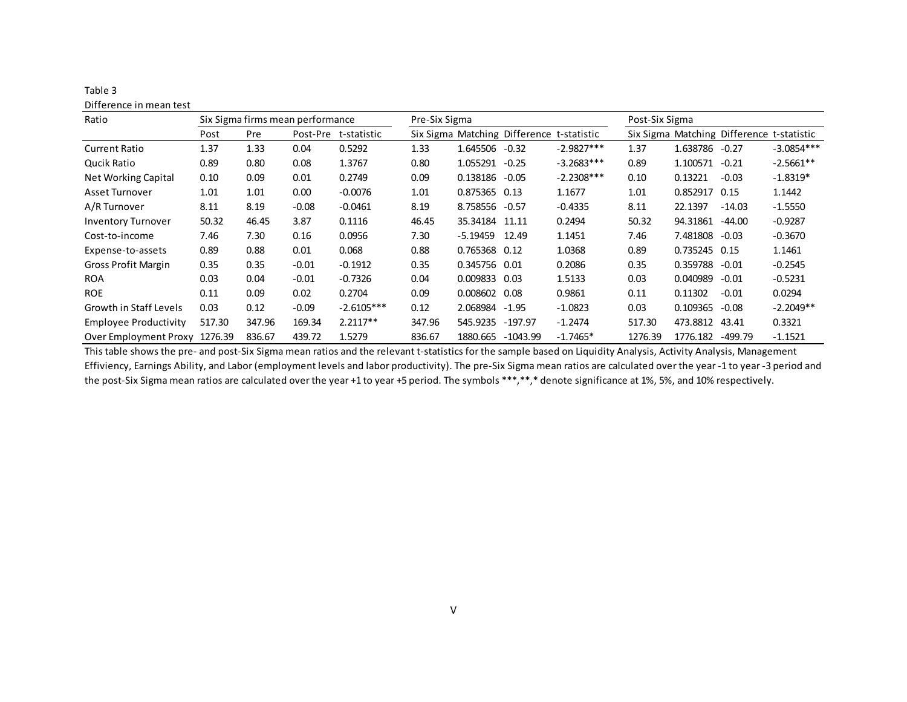| Difference in mean test       |        |                                  |         |                      |               |                   |                                           |              |                |          |                                           |              |
|-------------------------------|--------|----------------------------------|---------|----------------------|---------------|-------------------|-------------------------------------------|--------------|----------------|----------|-------------------------------------------|--------------|
| Ratio                         |        | Six Sigma firms mean performance |         |                      | Pre-Six Sigma |                   |                                           |              | Post-Six Sigma |          |                                           |              |
|                               | Post   | Pre                              |         | Post-Pre t-statistic |               |                   | Six Sigma Matching Difference t-statistic |              |                |          | Six Sigma Matching Difference t-statistic |              |
| <b>Current Ratio</b>          | 1.37   | 1.33                             | 0.04    | 0.5292               | 1.33          | 1.645506          | $-0.32$                                   | $-2.9827***$ | 1.37           | 1.638786 | $-0.27$                                   | $-3.0854***$ |
| Qucik Ratio                   | 0.89   | 0.80                             | 0.08    | 1.3767               | 0.80          | 1.055291          | $-0.25$                                   | $-3.2683***$ | 0.89           | 1.100571 | $-0.21$                                   | $-2.5661**$  |
| Net Working Capital           | 0.10   | 0.09                             | 0.01    | 0.2749               | 0.09          | 0.138186          | $-0.05$                                   | $-2.2308***$ | 0.10           | 0.13221  | $-0.03$                                   | $-1.8319*$   |
| Asset Turnover                | 1.01   | 1.01                             | 0.00    | $-0.0076$            | 1.01          | 0.875365 0.13     |                                           | 1.1677       | 1.01           | 0.852917 | 0.15                                      | 1.1442       |
| A/R Turnover                  | 8.11   | 8.19                             | $-0.08$ | $-0.0461$            | 8.19          | 8.758556 -0.57    |                                           | $-0.4335$    | 8.11           | 22.1397  | $-14.03$                                  | $-1.5550$    |
| <b>Inventory Turnover</b>     | 50.32  | 46.45                            | 3.87    | 0.1116               | 46.45         | 35.34184 11.11    |                                           | 0.2494       | 50.32          | 94.31861 | -44.00                                    | $-0.9287$    |
| Cost-to-income                | 7.46   | 7.30                             | 0.16    | 0.0956               | 7.30          | $-5.19459$        | 12.49                                     | 1.1451       | 7.46           | 7.481808 | $-0.03$                                   | $-0.3670$    |
| Expense-to-assets             | 0.89   | 0.88                             | 0.01    | 0.068                | 0.88          | 0.765368 0.12     |                                           | 1.0368       | 0.89           | 0.735245 | 0.15                                      | 1.1461       |
| Gross Profit Margin           | 0.35   | 0.35                             | $-0.01$ | $-0.1912$            | 0.35          | 0.345756 0.01     |                                           | 0.2086       | 0.35           | 0.359788 | $-0.01$                                   | $-0.2545$    |
| <b>ROA</b>                    | 0.03   | 0.04                             | $-0.01$ | $-0.7326$            | 0.04          | 0.009833          | 0.03                                      | 1.5133       | 0.03           | 0.040989 | $-0.01$                                   | $-0.5231$    |
| <b>ROE</b>                    | 0.11   | 0.09                             | 0.02    | 0.2704               | 0.09          | 0.008602          | 0.08                                      | 0.9861       | 0.11           | 0.11302  | $-0.01$                                   | 0.0294       |
| Growth in Staff Levels        | 0.03   | 0.12                             | $-0.09$ | $-2.6105***$         | 0.12          | 2.068984 -1.95    |                                           | $-1.0823$    | 0.03           | 0.109365 | $-0.08$                                   | $-2.2049**$  |
| <b>Employee Productivity</b>  | 517.30 | 347.96                           | 169.34  | $2.2117**$           | 347.96        | 545.9235 -197.97  |                                           | $-1.2474$    | 517.30         | 473.8812 | 43.41                                     | 0.3321       |
| Over Employment Proxy 1276.39 |        | 836.67                           | 439.72  | 1.5279               | 836.67        | 1880.665 -1043.99 |                                           | $-1.7465*$   | 1276.39        | 1776.182 | -499.79                                   | $-1.1521$    |

This table shows the pre- and post-Six Sigma mean ratios and the relevant t-statistics for the sample based on Liquidity Analysis, Activity Analysis, Management Effiviency, Earnings Ability, and Labor (employment levels and labor productivity). The pre-Six Sigma mean ratios are calculated over the year -1 to year -3 period and the post-Six Sigma mean ratios are calculated over the year +1 to year +5 period. The symbols \*\*\*,\*\*,\* denote significance at 1%, 5%, and 10% respectively.

V

Table 3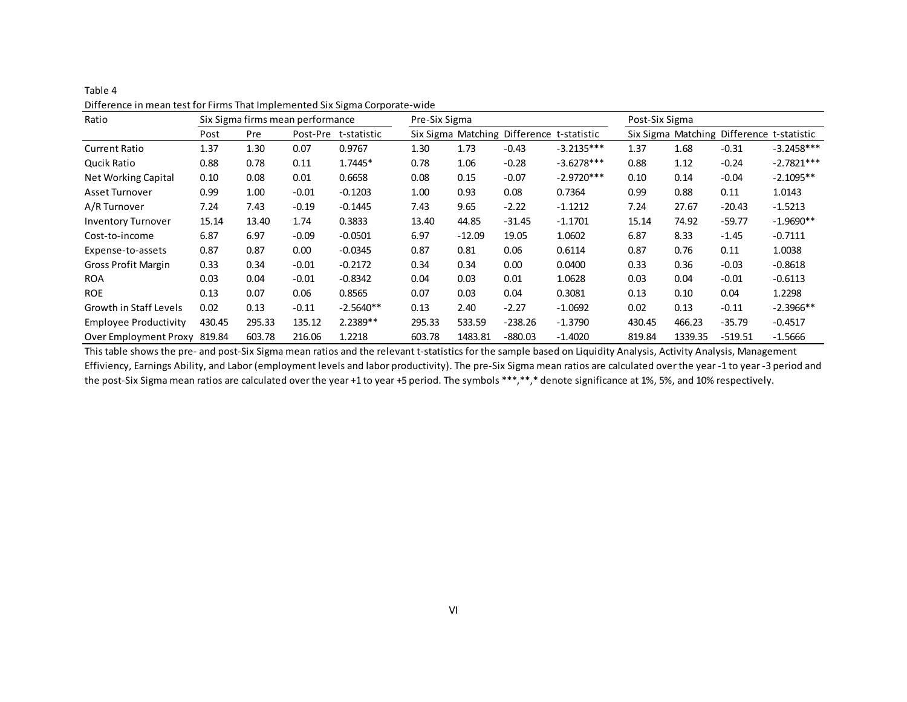| Ratio                        |        |        | Six Sigma firms mean performance |             | Pre-Six Sigma |          |                                           |              | Post-Six Sigma |         |                                           |              |
|------------------------------|--------|--------|----------------------------------|-------------|---------------|----------|-------------------------------------------|--------------|----------------|---------|-------------------------------------------|--------------|
|                              | Post   | Pre    | Post-Pre                         | t-statistic |               |          | Six Sigma Matching Difference t-statistic |              |                |         | Six Sigma Matching Difference t-statistic |              |
| <b>Current Ratio</b>         | 1.37   | 1.30   | 0.07                             | 0.9767      | 1.30          | 1.73     | $-0.43$                                   | $-3.2135***$ | 1.37           | 1.68    | $-0.31$                                   | $-3.2458***$ |
| Qucik Ratio                  | 0.88   | 0.78   | 0.11                             | 1.7445*     | 0.78          | 1.06     | $-0.28$                                   | $-3.6278***$ | 0.88           | 1.12    | $-0.24$                                   | $-2.7821***$ |
| Net Working Capital          | 0.10   | 0.08   | 0.01                             | 0.6658      | 0.08          | 0.15     | $-0.07$                                   | $-2.9720***$ | 0.10           | 0.14    | $-0.04$                                   | $-2.1095**$  |
| Asset Turnover               | 0.99   | 1.00   | $-0.01$                          | $-0.1203$   | 1.00          | 0.93     | 0.08                                      | 0.7364       | 0.99           | 0.88    | 0.11                                      | 1.0143       |
| A/R Turnover                 | 7.24   | 7.43   | $-0.19$                          | $-0.1445$   | 7.43          | 9.65     | $-2.22$                                   | $-1.1212$    | 7.24           | 27.67   | $-20.43$                                  | $-1.5213$    |
| <b>Inventory Turnover</b>    | 15.14  | 13.40  | 1.74                             | 0.3833      | 13.40         | 44.85    | $-31.45$                                  | $-1.1701$    | 15.14          | 74.92   | $-59.77$                                  | $-1.9690**$  |
| Cost-to-income               | 6.87   | 6.97   | $-0.09$                          | $-0.0501$   | 6.97          | $-12.09$ | 19.05                                     | 1.0602       | 6.87           | 8.33    | $-1.45$                                   | $-0.7111$    |
| Expense-to-assets            | 0.87   | 0.87   | 0.00                             | $-0.0345$   | 0.87          | 0.81     | 0.06                                      | 0.6114       | 0.87           | 0.76    | 0.11                                      | 1.0038       |
| <b>Gross Profit Margin</b>   | 0.33   | 0.34   | $-0.01$                          | $-0.2172$   | 0.34          | 0.34     | 0.00                                      | 0.0400       | 0.33           | 0.36    | $-0.03$                                   | $-0.8618$    |
| <b>ROA</b>                   | 0.03   | 0.04   | $-0.01$                          | $-0.8342$   | 0.04          | 0.03     | 0.01                                      | 1.0628       | 0.03           | 0.04    | $-0.01$                                   | $-0.6113$    |
| <b>ROE</b>                   | 0.13   | 0.07   | 0.06                             | 0.8565      | 0.07          | 0.03     | 0.04                                      | 0.3081       | 0.13           | 0.10    | 0.04                                      | 1.2298       |
| Growth in Staff Levels       | 0.02   | 0.13   | $-0.11$                          | $-2.5640**$ | 0.13          | 2.40     | $-2.27$                                   | $-1.0692$    | 0.02           | 0.13    | $-0.11$                                   | $-2.3966**$  |
| <b>Employee Productivity</b> | 430.45 | 295.33 | 135.12                           | $2.2389**$  | 295.33        | 533.59   | $-238.26$                                 | $-1.3790$    | 430.45         | 466.23  | $-35.79$                                  | $-0.4517$    |
| Over Employment Proxy 819.84 |        | 603.78 | 216.06                           | 1.2218      | 603.78        | 1483.81  | $-880.03$                                 | $-1.4020$    | 819.84         | 1339.35 | $-519.51$                                 | $-1.5666$    |

Table 4 Difference in mean test for Firms That Implemented Six Sigma Corporate-wide

This table shows the pre- and post-Six Sigma mean ratios and the relevant t-statistics for the sample based on Liquidity Analysis, Activity Analysis, Management Effiviency, Earnings Ability, and Labor (employment levels and labor productivity). The pre-Six Sigma mean ratios are calculated over the year -1 to year -3 period and the post-Six Sigma mean ratios are calculated over the year +1 to year +5 period. The symbols \*\*\*,\*\*,\* denote significance at 1%, 5%, and 10% respectively.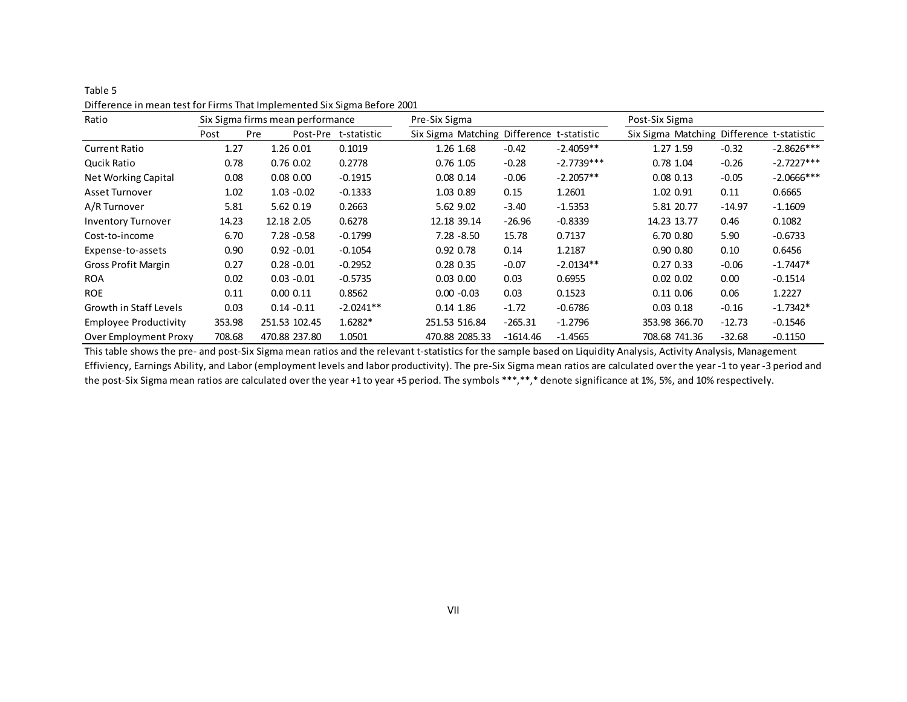| Ratio                        |        | Six Sigma firms mean performance |                      | Pre-Six Sigma                             |            |              | Post-Six Sigma                            |          |              |
|------------------------------|--------|----------------------------------|----------------------|-------------------------------------------|------------|--------------|-------------------------------------------|----------|--------------|
|                              | Post   | Pre                              | Post-Pre t-statistic | Six Sigma Matching Difference t-statistic |            |              | Six Sigma Matching Difference t-statistic |          |              |
| <b>Current Ratio</b>         | 1.27   | 1.26 0.01                        | 0.1019               | 1.26 1.68                                 | $-0.42$    | $-2.4059**$  | 1.27 1.59                                 | $-0.32$  | $-2.8626***$ |
| Qucik Ratio                  | 0.78   | $0.76$ $0.02$                    | 0.2778               | $0.76$ 1.05                               | $-0.28$    | $-2.7739***$ | 0.78 1.04                                 | $-0.26$  | $-2.7227***$ |
| Net Working Capital          | 0.08   | $0.08\ 0.00$                     | $-0.1915$            | 0.080.14                                  | $-0.06$    | $-2.2057**$  | $0.08$ 0.13                               | $-0.05$  | $-2.0666***$ |
| Asset Turnover               | 1.02   | $1.03 - 0.02$                    | $-0.1333$            | 1.03 0.89                                 | 0.15       | 1.2601       | 1.02 0.91                                 | 0.11     | 0.6665       |
| A/R Turnover                 | 5.81   | 5.62 0.19                        | 0.2663               | 5.62 9.02                                 | $-3.40$    | $-1.5353$    | 5.81 20.77                                | $-14.97$ | $-1.1609$    |
| <b>Inventory Turnover</b>    | 14.23  | 12.18 2.05                       | 0.6278               | 12.18 39.14                               | $-26.96$   | $-0.8339$    | 14.23 13.77                               | 0.46     | 0.1082       |
| Cost-to-income               | 6.70   | $7.28 - 0.58$                    | $-0.1799$            | $7.28 - 8.50$                             | 15.78      | 0.7137       | 6.70 0.80                                 | 5.90     | $-0.6733$    |
| Expense-to-assets            | 0.90   | $0.92 - 0.01$                    | $-0.1054$            | 0.92 0.78                                 | 0.14       | 1.2187       | 0.90 0.80                                 | 0.10     | 0.6456       |
| <b>Gross Profit Margin</b>   | 0.27   | $0.28 - 0.01$                    | $-0.2952$            | 0.280.35                                  | $-0.07$    | $-2.0134**$  | 0.270.33                                  | $-0.06$  | $-1.7447*$   |
| <b>ROA</b>                   | 0.02   | $0.03 - 0.01$                    | $-0.5735$            | $0.03$ $0.00$                             | 0.03       | 0.6955       | $0.02$ $0.02$                             | 0.00     | $-0.1514$    |
| <b>ROE</b>                   | 0.11   | 0.00 0.11                        | 0.8562               | $0.00 - 0.03$                             | 0.03       | 0.1523       | $0.11\ 0.06$                              | 0.06     | 1.2227       |
| Growth in Staff Levels       | 0.03   | $0.14 - 0.11$                    | $-2.0241**$          | $0.14$ 1.86                               | $-1.72$    | $-0.6786$    | $0.03$ $0.18$                             | $-0.16$  | $-1.7342*$   |
| <b>Employee Productivity</b> | 353.98 | 251.53 102.45                    | $1.6282*$            | 251.53 516.84                             | $-265.31$  | $-1.2796$    | 353.98 366.70                             | $-12.73$ | $-0.1546$    |
| <b>Over Employment Proxy</b> | 708.68 | 470.88 237.80                    | 1.0501               | 470.88 2085.33                            | $-1614.46$ | $-1.4565$    | 708.68 741.36                             | $-32.68$ | $-0.1150$    |

### Table 5 Difference in mean test for Firms That Implemented Six Sigma Before 2001

This table shows the pre- and post-Six Sigma mean ratios and the relevant t-statistics for the sample based on Liquidity Analysis, Activity Analysis, Management Effiviency, Earnings Ability, and Labor (employment levels and labor productivity). The pre-Six Sigma mean ratios are calculated over the year -1 to year -3 period and the post-Six Sigma mean ratios are calculated over the year +1 to year +5 period. The symbols \*\*\*,\*\*,\* denote significance at 1%, 5%, and 10% respectively.